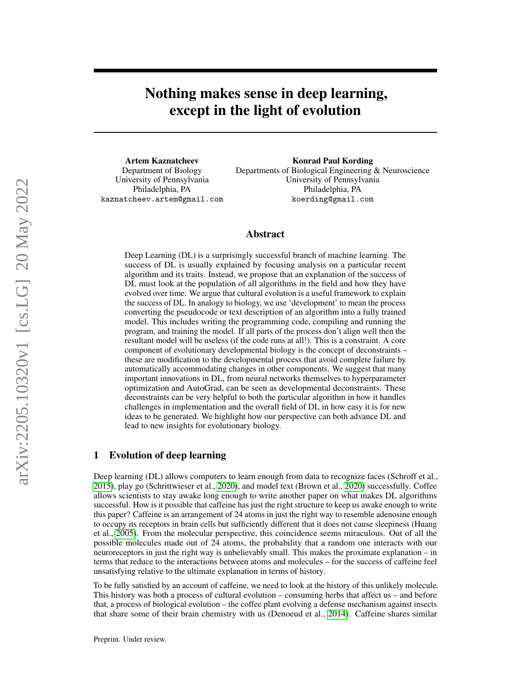Nothing makes sense in deep learning, except in the light of evolution

Artem Kaznatcheev Department of Biology University of Pennsylvania Philadelphia, PA kaznatcheev.artem@gmail.com

Konrad Paul Kording Departments of Biological Engineering & Neuroscience University of Pennsylvania Philadelphia, PA koerding@gmail.com

# Abstract

Deep Learning (DL) is a surprisingly successful branch of machine learning. The success of DL is usually explained by focusing analysis on a particular recent algorithm and its traits. Instead, we propose that an explanation of the success of DL must look at the population of all algorithms in the field and how they have evolved over time. We argue that cultural evolution is a useful framework to explain the success of DL. In analogy to biology, we use 'development' to mean the process converting the pseudocode or text description of an algorithm into a fully trained model. This includes writing the programming code, compiling and running the program, and training the model. If all parts of the process don't align well then the resultant model will be useless (if the code runs at all!). This is a constraint. A core component of evolutionary developmental biology is the concept of deconstraints – these are modification to the developmental process that avoid complete failure by automatically accommodating changes in other components. We suggest that many important innovations in DL, from neural networks themselves to hyperparameter optimization and AutoGrad, can be seen as developmental deconstraints. These deconstraints can be very helpful to both the particular algorithm in how it handles challenges in implementation and the overall field of DL in how easy it is for new ideas to be generated. We highlight how our perspective can both advance DL and lead to new insights for evolutionary biology.

### <span id="page-0-0"></span>1 Evolution of deep learning

Deep learning (DL) allows computers to learn enough from data to recognize faces (Schroff et al., [2015\)](#page-10-0), play go (Schrittwieser et al., [2020\)](#page-9-0), and model text (Brown et al., [2020\)](#page-9-1) successfully. Coffee allows scientists to stay awake long enough to write another paper on what makes DL algorithms successful. How is it possible that caffeine has just the right structure to keep us awake enough to write this paper? Caffeine is an arrangement of 24 atoms in just the right way to resemble adenosine enough to occupy its receptors in brain cells but sufficiently different that it does not cause sleepiness (Huang et al., [2005\)](#page-9-2). From the molecular perspective, this coincidence seems miraculous. Out of all the possible molecules made out of 24 atoms, the probability that a random one interacts with our neuroreceptors in just the right way is unbelievably small. This makes the proximate explanation – in terms that reduce to the interactions between atoms and molecules – for the success of caffeine feel unsatisfying relative to the ultimate explanation in terms of history.

To be fully satisfied by an account of caffeine, we need to look at the history of this unlikely molecule. This history was both a process of cultural evolution – consuming herbs that affect us – and before that, a process of biological evolution – the coffee plant evolving a defense mechanism against insects that share some of their brain chemistry with us (Denoeud et al., [2014\)](#page-9-3). Caffeine shares similar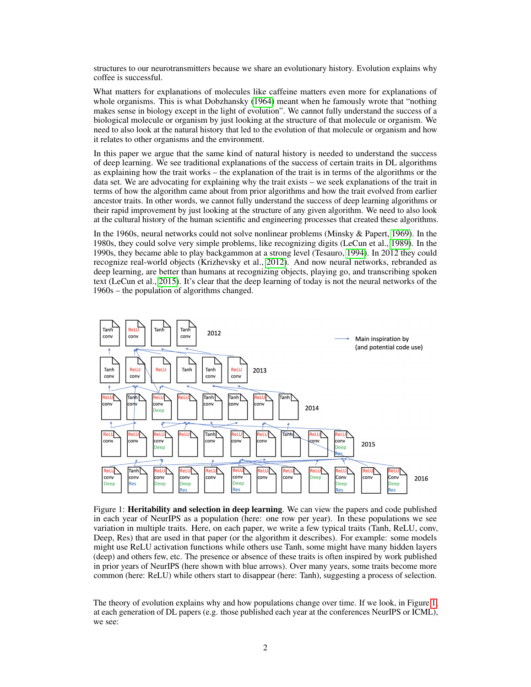structures to our neurotransmitters because we share an evolutionary history. Evolution explains why coffee is successful.

What matters for explanations of molecules like caffeine matters even more for explanations of whole organisms. This is what Dobzhansky [\(1964\)](#page-9-4) meant when he famously wrote that "nothing makes sense in biology except in the light of evolution". We cannot fully understand the success of a biological molecule or organism by just looking at the structure of that molecule or organism. We need to also look at the natural history that led to the evolution of that molecule or organism and how it relates to other organisms and the environment.

In this paper we argue that the same kind of natural history is needed to understand the success of deep learning. We see traditional explanations of the success of certain traits in DL algorithms as explaining how the trait works – the explanation of the trait is in terms of the algorithms or the data set. We are advocating for explaining why the trait exists – we seek explanations of the trait in terms of how the algorithm came about from prior algorithms and how the trait evolved from earlier ancestor traits. In other words, we cannot fully understand the success of deep learning algorithms or their rapid improvement by just looking at the structure of any given algorithm. We need to also look at the cultural history of the human scientific and engineering processes that created these algorithms.

In the 1960s, neural networks could not solve nonlinear problems (Minsky & Papert, [1969\)](#page-9-5). In the 1980s, they could solve very simple problems, like recognizing digits (LeCun et al., [1989\)](#page-9-6). In the 1990s, they became able to play backgammon at a strong level (Tesauro, [1994\)](#page-10-1). In 2012 they could recognize real-world objects (Krizhevsky et al., [2012\)](#page-9-7). And now neural networks, rebranded as deep learning, are better than humans at recognizing objects, playing go, and transcribing spoken text (LeCun et al., [2015\)](#page-9-8). It's clear that the deep learning of today is not the neural networks of the 1960s – the population of algorithms changed.

<span id="page-1-0"></span>

Figure 1: Heritability and selection in deep learning. We can view the papers and code published in each year of NeurIPS as a population (here: one row per year). In these populations we see variation in multiple traits. Here, on each paper, we write a few typical traits (Tanh, ReLU, conv, Deep, Res) that are used in that paper (or the algorithm it describes). For example: some models might use ReLU activation functions while others use Tanh, some might have many hidden layers (deep) and others few, etc. The presence or absence of these traits is often inspired by work published in prior years of NeurIPS (here shown with blue arrows). Over many years, some traits become more common (here: ReLU) while others start to disappear (here: Tanh), suggesting a process of selection.

The theory of evolution explains why and how populations change over time. If we look, in Figure [1,](#page-1-0) at each generation of DL papers (e.g. those published each year at the conferences NeurIPS or ICML), we see: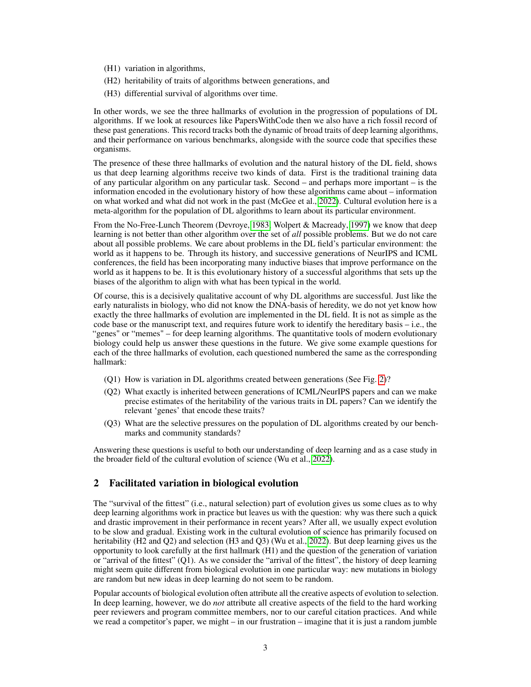- (H1) variation in algorithms,
- (H2) heritability of traits of algorithms between generations, and
- (H3) differential survival of algorithms over time.

In other words, we see the three hallmarks of evolution in the progression of populations of DL algorithms. If we look at resources like PapersWithCode then we also have a rich fossil record of these past generations. This record tracks both the dynamic of broad traits of deep learning algorithms, and their performance on various benchmarks, alongside with the source code that specifies these organisms.

The presence of these three hallmarks of evolution and the natural history of the DL field, shows us that deep learning algorithms receive two kinds of data. First is the traditional training data of any particular algorithm on any particular task. Second – and perhaps more important – is the information encoded in the evolutionary history of how these algorithms came about – information on what worked and what did not work in the past (McGee et al., [2022\)](#page-9-9). Cultural evolution here is a meta-algorithm for the population of DL algorithms to learn about its particular environment.

From the No-Free-Lunch Theorem (Devroye, [1983;](#page-9-10) Wolpert & Macready, [1997\)](#page-10-2) we know that deep learning is not better than other algorithm over the set of *all* possible problems. But we do not care about all possible problems. We care about problems in the DL field's particular environment: the world as it happens to be. Through its history, and successive generations of NeurIPS and ICML conferences, the field has been incorporating many inductive biases that improve performance on the world as it happens to be. It is this evolutionary history of a successful algorithms that sets up the biases of the algorithm to align with what has been typical in the world.

Of course, this is a decisively qualitative account of why DL algorithms are successful. Just like the early naturalists in biology, who did not know the DNA-basis of heredity, we do not yet know how exactly the three hallmarks of evolution are implemented in the DL field. It is not as simple as the code base or the manuscript text, and requires future work to identify the hereditary basis – i.e., the "genes" or "memes" – for deep learning algorithms. The quantitative tools of modern evolutionary biology could help us answer these questions in the future. We give some example questions for each of the three hallmarks of evolution, each questioned numbered the same as the corresponding hallmark:

- (Q1) How is variation in DL algorithms created between generations (See Fig. [2\)](#page-4-0)?
- (Q2) What exactly is inherited between generations of ICML/NeurIPS papers and can we make precise estimates of the heritability of the various traits in DL papers? Can we identify the relevant 'genes' that encode these traits?
- (Q3) What are the selective pressures on the population of DL algorithms created by our benchmarks and community standards?

Answering these questions is useful to both our understanding of deep learning and as a case study in the broader field of the cultural evolution of science (Wu et al., [2022\)](#page-10-3).

# 2 Facilitated variation in biological evolution

The "survival of the fittest" (i.e., natural selection) part of evolution gives us some clues as to why deep learning algorithms work in practice but leaves us with the question: why was there such a quick and drastic improvement in their performance in recent years? After all, we usually expect evolution to be slow and gradual. Existing work in the cultural evolution of science has primarily focused on heritability (H2 and Q2) and selection (H3 and Q3) (Wu et al., [2022\)](#page-10-3). But deep learning gives us the opportunity to look carefully at the first hallmark (H1) and the question of the generation of variation or "arrival of the fittest" (Q1). As we consider the "arrival of the fittest", the history of deep learning might seem quite different from biological evolution in one particular way: new mutations in biology are random but new ideas in deep learning do not seem to be random.

Popular accounts of biological evolution often attribute all the creative aspects of evolution to selection. In deep learning, however, we do *not* attribute all creative aspects of the field to the hard working peer reviewers and program committee members, nor to our careful citation practices. And while we read a competitor's paper, we might – in our frustration – imagine that it is just a random jumble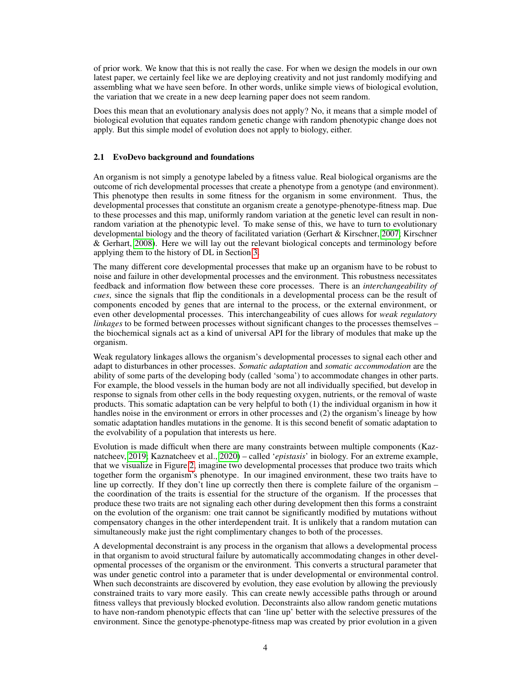of prior work. We know that this is not really the case. For when we design the models in our own latest paper, we certainly feel like we are deploying creativity and not just randomly modifying and assembling what we have seen before. In other words, unlike simple views of biological evolution, the variation that we create in a new deep learning paper does not seem random.

Does this mean that an evolutionary analysis does not apply? No, it means that a simple model of biological evolution that equates random genetic change with random phenotypic change does not apply. But this simple model of evolution does not apply to biology, either.

#### 2.1 EvoDevo background and foundations

An organism is not simply a genotype labeled by a fitness value. Real biological organisms are the outcome of rich developmental processes that create a phenotype from a genotype (and environment). This phenotype then results in some fitness for the organism in some environment. Thus, the developmental processes that constitute an organism create a genotype-phenotype-fitness map. Due to these processes and this map, uniformly random variation at the genetic level can result in nonrandom variation at the phenotypic level. To make sense of this, we have to turn to evolutionary developmental biology and the theory of facilitated variation (Gerhart & Kirschner, [2007;](#page-9-11) Kirschner & Gerhart, [2008\)](#page-9-12). Here we will lay out the relevant biological concepts and terminology before applying them to the history of DL in Section [3.](#page-5-0)

The many different core developmental processes that make up an organism have to be robust to noise and failure in other developmental processes and the environment. This robustness necessitates feedback and information flow between these core processes. There is an *interchangeability of cues*, since the signals that flip the conditionals in a developmental process can be the result of components encoded by genes that are internal to the process, or the external environment, or even other developmental processes. This interchangeability of cues allows for *weak regulatory linkages* to be formed between processes without significant changes to the processes themselves – the biochemical signals act as a kind of universal API for the library of modules that make up the organism.

Weak regulatory linkages allows the organism's developmental processes to signal each other and adapt to disturbances in other processes. *Somatic adaptation* and *somatic accommodation* are the ability of some parts of the developing body (called 'soma') to accommodate changes in other parts. For example, the blood vessels in the human body are not all individually specified, but develop in response to signals from other cells in the body requesting oxygen, nutrients, or the removal of waste products. This somatic adaptation can be very helpful to both (1) the individual organism in how it handles noise in the environment or errors in other processes and (2) the organism's lineage by how somatic adaptation handles mutations in the genome. It is this second benefit of somatic adaptation to the evolvability of a population that interests us here.

Evolution is made difficult when there are many constraints between multiple components (Kaznatcheev, [2019;](#page-9-13) Kaznatcheev et al., [2020\)](#page-9-14) – called '*epistasis*' in biology. For an extreme example, that we visualize in Figure [2,](#page-4-0) imagine two developmental processes that produce two traits which together form the organism's phenotype. In our imagined environment, these two traits have to line up correctly. If they don't line up correctly then there is complete failure of the organism – the coordination of the traits is essential for the structure of the organism. If the processes that produce these two traits are not signaling each other during development then this forms a constraint on the evolution of the organism: one trait cannot be significantly modified by mutations without compensatory changes in the other interdependent trait. It is unlikely that a random mutation can simultaneously make just the right complimentary changes to both of the processes.

A developmental deconstraint is any process in the organism that allows a developmental process in that organism to avoid structural failure by automatically accommodating changes in other developmental processes of the organism or the environment. This converts a structural parameter that was under genetic control into a parameter that is under developmental or environmental control. When such deconstraints are discovered by evolution, they ease evolution by allowing the previously constrained traits to vary more easily. This can create newly accessible paths through or around fitness valleys that previously blocked evolution. Deconstraints also allow random genetic mutations to have non-random phenotypic effects that can 'line up' better with the selective pressures of the environment. Since the genotype-phenotype-fitness map was created by prior evolution in a given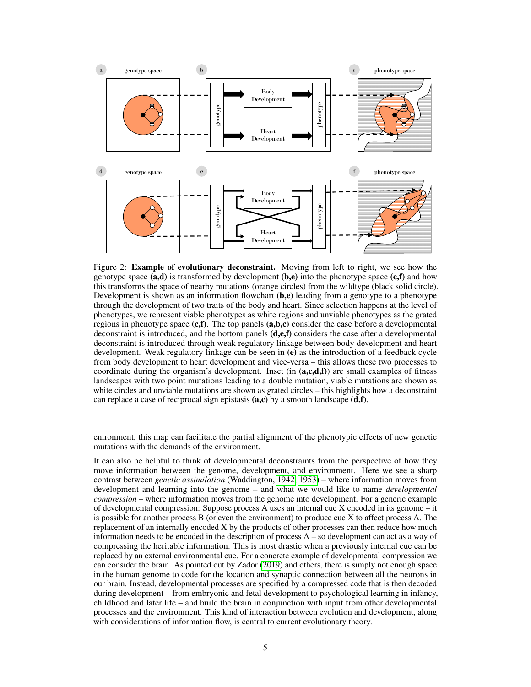<span id="page-4-0"></span>

Figure 2: **Example of evolutionary deconstraint.** Moving from left to right, we see how the genotype space  $(a,d)$  is transformed by development  $(b,e)$  into the phenotype space  $(c,f)$  and how this transforms the space of nearby mutations (orange circles) from the wildtype (black solid circle). Development is shown as an information flowchart  $(b,e)$  leading from a genotype to a phenotype through the development of two traits of the body and heart. Since selection happens at the level of phenotypes, we represent viable phenotypes as white regions and unviable phenotypes as the grated regions in phenotype space  $(c, f)$ . The top panels  $(a, b, c)$  consider the case before a developmental deconstraint is introduced, and the bottom panels (d,e,f) considers the case after a developmental deconstraint is introduced through weak regulatory linkage between body development and heart development. Weak regulatory linkage can be seen in (e) as the introduction of a feedback cycle from body development to heart development and vice-versa – this allows these two processes to coordinate during the organism's development. Inset (in  $(a, c, d, f)$ ) are small examples of fitness landscapes with two point mutations leading to a double mutation, viable mutations are shown as white circles and unviable mutations are shown as grated circles – this highlights how a deconstraint can replace a case of reciprocal sign epistasis  $(a, c)$  by a smooth landscape  $(d, f)$ .

enironment, this map can facilitate the partial alignment of the phenotypic effects of new genetic mutations with the demands of the environment.

It can also be helpful to think of developmental deconstraints from the perspective of how they move information between the genome, development, and environment. Here we see a sharp contrast between *genetic assimilation* (Waddington, [1942,](#page-10-4) [1953\)](#page-10-5) – where information moves from development and learning into the genome – and what we would like to name *developmental compression* – where information moves from the genome into development. For a generic example of developmental compression: Suppose process A uses an internal cue X encoded in its genome – it is possible for another process B (or even the environment) to produce cue X to affect process A. The replacement of an internally encoded X by the products of other processes can then reduce how much information needs to be encoded in the description of process A – so development can act as a way of compressing the heritable information. This is most drastic when a previously internal cue can be replaced by an external environmental cue. For a concrete example of developmental compression we can consider the brain. As pointed out by Zador [\(2019\)](#page-10-6) and others, there is simply not enough space in the human genome to code for the location and synaptic connection between all the neurons in our brain. Instead, developmental processes are specified by a compressed code that is then decoded during development – from embryonic and fetal development to psychological learning in infancy, childhood and later life – and build the brain in conjunction with input from other developmental processes and the environment. This kind of interaction between evolution and development, along with considerations of information flow, is central to current evolutionary theory.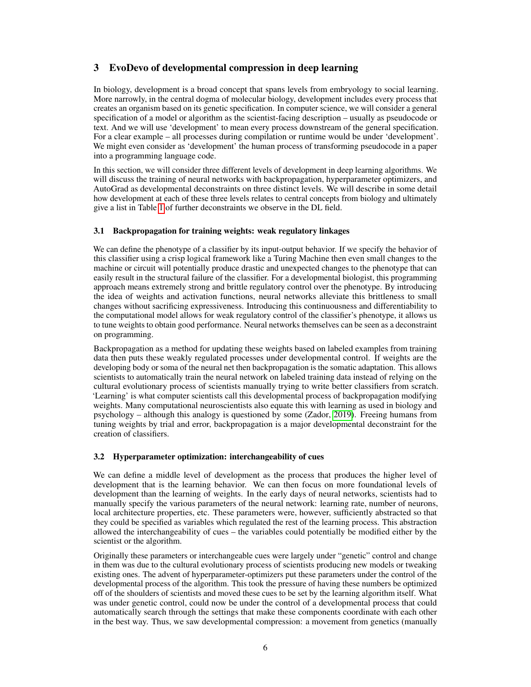# <span id="page-5-0"></span>3 EvoDevo of developmental compression in deep learning

In biology, development is a broad concept that spans levels from embryology to social learning. More narrowly, in the central dogma of molecular biology, development includes every process that creates an organism based on its genetic specification. In computer science, we will consider a general specification of a model or algorithm as the scientist-facing description – usually as pseudocode or text. And we will use 'development' to mean every process downstream of the general specification. For a clear example – all processes during compilation or runtime would be under 'development'. We might even consider as 'development' the human process of transforming pseudocode in a paper into a programming language code.

In this section, we will consider three different levels of development in deep learning algorithms. We will discuss the training of neural networks with backpropagation, hyperparameter optimizers, and AutoGrad as developmental deconstraints on three distinct levels. We will describe in some detail how development at each of these three levels relates to central concepts from biology and ultimately give a list in Table [1](#page-6-0) of further deconstraints we observe in the DL field.

# 3.1 Backpropagation for training weights: weak regulatory linkages

We can define the phenotype of a classifier by its input-output behavior. If we specify the behavior of this classifier using a crisp logical framework like a Turing Machine then even small changes to the machine or circuit will potentially produce drastic and unexpected changes to the phenotype that can easily result in the structural failure of the classifier. For a developmental biologist, this programming approach means extremely strong and brittle regulatory control over the phenotype. By introducing the idea of weights and activation functions, neural networks alleviate this brittleness to small changes without sacrificing expressiveness. Introducing this continuousness and differentiability to the computational model allows for weak regulatory control of the classifier's phenotype, it allows us to tune weights to obtain good performance. Neural networks themselves can be seen as a deconstraint on programming.

Backpropagation as a method for updating these weights based on labeled examples from training data then puts these weakly regulated processes under developmental control. If weights are the developing body or soma of the neural net then backpropagation is the somatic adaptation. This allows scientists to automatically train the neural network on labeled training data instead of relying on the cultural evolutionary process of scientists manually trying to write better classifiers from scratch. 'Learning' is what computer scientists call this developmental process of backpropagation modifying weights. Many computational neuroscientists also equate this with learning as used in biology and psychology – although this analogy is questioned by some (Zador, [2019\)](#page-10-6). Freeing humans from tuning weights by trial and error, backpropagation is a major developmental deconstraint for the creation of classifiers.

# 3.2 Hyperparameter optimization: interchangeability of cues

We can define a middle level of development as the process that produces the higher level of development that is the learning behavior. We can then focus on more foundational levels of development than the learning of weights. In the early days of neural networks, scientists had to manually specify the various parameters of the neural network: learning rate, number of neurons, local architecture properties, etc. These parameters were, however, sufficiently abstracted so that they could be specified as variables which regulated the rest of the learning process. This abstraction allowed the interchangeability of cues – the variables could potentially be modified either by the scientist or the algorithm.

Originally these parameters or interchangeable cues were largely under "genetic" control and change in them was due to the cultural evolutionary process of scientists producing new models or tweaking existing ones. The advent of hyperparameter-optimizers put these parameters under the control of the developmental process of the algorithm. This took the pressure of having these numbers be optimized off of the shoulders of scientists and moved these cues to be set by the learning algorithm itself. What was under genetic control, could now be under the control of a developmental process that could automatically search through the settings that make these components coordinate with each other in the best way. Thus, we saw developmental compression: a movement from genetics (manually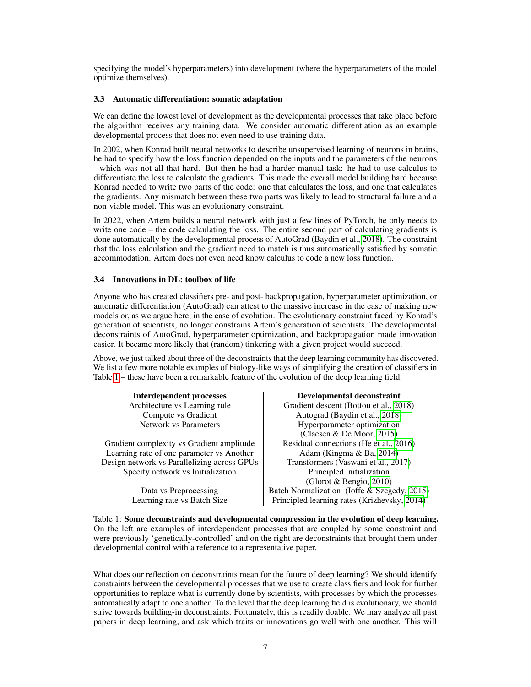specifying the model's hyperparameters) into development (where the hyperparameters of the model optimize themselves).

### 3.3 Automatic differentiation: somatic adaptation

We can define the lowest level of development as the developmental processes that take place before the algorithm receives any training data. We consider automatic differentiation as an example developmental process that does not even need to use training data.

In 2002, when Konrad built neural networks to describe unsupervised learning of neurons in brains, he had to specify how the loss function depended on the inputs and the parameters of the neurons – which was not all that hard. But then he had a harder manual task: he had to use calculus to differentiate the loss to calculate the gradients. This made the overall model building hard because Konrad needed to write two parts of the code: one that calculates the loss, and one that calculates the gradients. Any mismatch between these two parts was likely to lead to structural failure and a non-viable model. This was an evolutionary constraint.

In 2022, when Artem builds a neural network with just a few lines of PyTorch, he only needs to write one code – the code calculating the loss. The entire second part of calculating gradients is done automatically by the developmental process of AutoGrad (Baydin et al., [2018\)](#page-8-0). The constraint that the loss calculation and the gradient need to match is thus automatically satisfied by somatic accommodation. Artem does not even need know calculus to code a new loss function.

# 3.4 Innovations in DL: toolbox of life

Anyone who has created classifiers pre- and post- backpropagation, hyperparameter optimization, or automatic differentiation (AutoGrad) can attest to the massive increase in the ease of making new models or, as we argue here, in the ease of evolution. The evolutionary constraint faced by Konrad's generation of scientists, no longer constrains Artem's generation of scientists. The developmental deconstraints of AutoGrad, hyperparameter optimization, and backpropagation made innovation easier. It became more likely that (random) tinkering with a given project would succeed.

Above, we just talked about three of the deconstraints that the deep learning community has discovered. We list a few more notable examples of biology-like ways of simplifying the creation of classifiers in Table [1](#page-6-0) – these have been a remarkable feature of the evolution of the deep learning field.

<span id="page-6-0"></span>

| <b>Interdependent processes</b>             | Developmental deconstraint                   |
|---------------------------------------------|----------------------------------------------|
| Architecture vs Learning rule               | Gradient descent (Bottou et al., 2018)       |
| Compute vs Gradient                         | Autograd (Baydin et al., 2018)               |
| <b>Network vs Parameters</b>                | Hyperparameter optimization                  |
|                                             | (Claesen & De Moor, 2015)                    |
| Gradient complexity vs Gradient amplitude   | Residual connections (He et al., 2016)       |
| Learning rate of one parameter vs Another   | Adam (Kingma & Ba, 2014)                     |
| Design network vs Parallelizing across GPUs | Transformers (Vaswani et al., 2017)          |
| Specify network vs Initialization           | Principled initialization                    |
|                                             | (Glorot & Bengio, 2010)                      |
| Data vs Preprocessing                       | Batch Normalization (Ioffe & Szegedy, 2015)  |
| Learning rate vs Batch Size                 | Principled learning rates (Krizhevsky, 2014) |

Table 1: Some deconstraints and developmental compression in the evolution of deep learning. On the left are examples of interdependent processes that are coupled by some constraint and were previously 'genetically-controlled' and on the right are deconstraints that brought them under developmental control with a reference to a representative paper.

What does our reflection on deconstraints mean for the future of deep learning? We should identify constraints between the developmental processes that we use to create classifiers and look for further opportunities to replace what is currently done by scientists, with processes by which the processes automatically adapt to one another. To the level that the deep learning field is evolutionary, we should strive towards building-in deconstraints. Fortunately, this is readily doable. We may analyze all past papers in deep learning, and ask which traits or innovations go well with one another. This will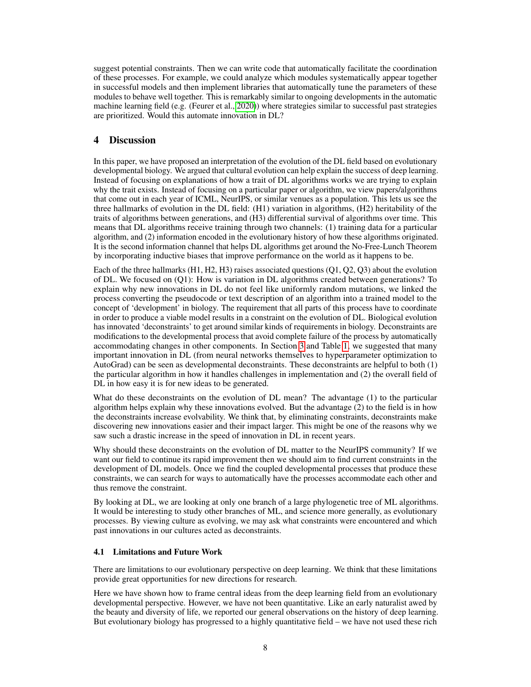suggest potential constraints. Then we can write code that automatically facilitate the coordination of these processes. For example, we could analyze which modules systematically appear together in successful models and then implement libraries that automatically tune the parameters of these modules to behave well together. This is remarkably similar to ongoing developments in the automatic machine learning field (e.g. (Feurer et al., [2020\)](#page-9-22)) where strategies similar to successful past strategies are prioritized. Would this automate innovation in DL?

# 4 Discussion

In this paper, we have proposed an interpretation of the evolution of the DL field based on evolutionary developmental biology. We argued that cultural evolution can help explain the success of deep learning. Instead of focusing on explanations of how a trait of DL algorithms works we are trying to explain why the trait exists. Instead of focusing on a particular paper or algorithm, we view papers/algorithms that come out in each year of ICML, NeurIPS, or similar venues as a population. This lets us see the three hallmarks of evolution in the DL field: (H1) variation in algorithms, (H2) heritability of the traits of algorithms between generations, and (H3) differential survival of algorithms over time. This means that DL algorithms receive training through two channels: (1) training data for a particular algorithm, and (2) information encoded in the evolutionary history of how these algorithms originated. It is the second information channel that helps DL algorithms get around the No-Free-Lunch Theorem by incorporating inductive biases that improve performance on the world as it happens to be.

Each of the three hallmarks (H1, H2, H3) raises associated questions (Q1, Q2, Q3) about the evolution of DL. We focused on (Q1): How is variation in DL algorithms created between generations? To explain why new innovations in DL do not feel like uniformly random mutations, we linked the process converting the pseudocode or text description of an algorithm into a trained model to the concept of 'development' in biology. The requirement that all parts of this process have to coordinate in order to produce a viable model results in a constraint on the evolution of DL. Biological evolution has innovated 'deconstraints' to get around similar kinds of requirements in biology. Deconstraints are modifications to the developmental process that avoid complete failure of the process by automatically accommodating changes in other components. In Section [3](#page-5-0) and Table [1,](#page-6-0) we suggested that many important innovation in DL (from neural networks themselves to hyperparameter optimization to AutoGrad) can be seen as developmental deconstraints. These deconstraints are helpful to both (1) the particular algorithm in how it handles challenges in implementation and (2) the overall field of DL in how easy it is for new ideas to be generated.

What do these deconstraints on the evolution of DL mean? The advantage (1) to the particular algorithm helps explain why these innovations evolved. But the advantage (2) to the field is in how the deconstraints increase evolvability. We think that, by eliminating constraints, deconstraints make discovering new innovations easier and their impact larger. This might be one of the reasons why we saw such a drastic increase in the speed of innovation in DL in recent years.

Why should these deconstraints on the evolution of DL matter to the NeurIPS community? If we want our field to continue its rapid improvement then we should aim to find current constraints in the development of DL models. Once we find the coupled developmental processes that produce these constraints, we can search for ways to automatically have the processes accommodate each other and thus remove the constraint.

By looking at DL, we are looking at only one branch of a large phylogenetic tree of ML algorithms. It would be interesting to study other branches of ML, and science more generally, as evolutionary processes. By viewing culture as evolving, we may ask what constraints were encountered and which past innovations in our cultures acted as deconstraints.

#### 4.1 Limitations and Future Work

There are limitations to our evolutionary perspective on deep learning. We think that these limitations provide great opportunities for new directions for research.

Here we have shown how to frame central ideas from the deep learning field from an evolutionary developmental perspective. However, we have not been quantitative. Like an early naturalist awed by the beauty and diversity of life, we reported our general observations on the history of deep learning. But evolutionary biology has progressed to a highly quantitative field – we have not used these rich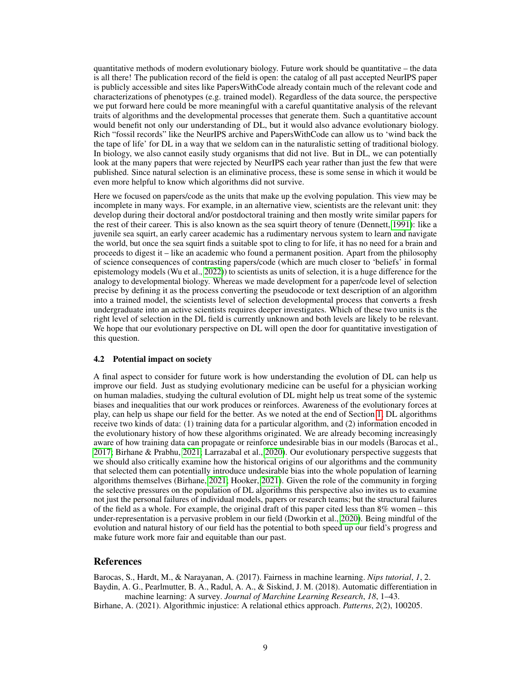quantitative methods of modern evolutionary biology. Future work should be quantitative – the data is all there! The publication record of the field is open: the catalog of all past accepted NeurIPS paper is publicly accessible and sites like PapersWithCode already contain much of the relevant code and characterizations of phenotypes (e.g. trained model). Regardless of the data source, the perspective we put forward here could be more meaningful with a careful quantitative analysis of the relevant traits of algorithms and the developmental processes that generate them. Such a quantitative account would benefit not only our understanding of DL, but it would also advance evolutionary biology. Rich "fossil records" like the NeurIPS archive and PapersWithCode can allow us to 'wind back the the tape of life' for DL in a way that we seldom can in the naturalistic setting of traditional biology. In biology, we also cannot easily study organisms that did not live. But in DL, we can potentially look at the many papers that were rejected by NeurIPS each year rather than just the few that were published. Since natural selection is an eliminative process, these is some sense in which it would be even more helpful to know which algorithms did not survive.

Here we focused on papers/code as the units that make up the evolving population. This view may be incomplete in many ways. For example, in an alternative view, scientists are the relevant unit: they develop during their doctoral and/or postdoctoral training and then mostly write similar papers for the rest of their career. This is also known as the sea squirt theory of tenure (Dennett, [1991\)](#page-9-23): like a juvenile sea squirt, an early career academic has a rudimentary nervous system to learn and navigate the world, but once the sea squirt finds a suitable spot to cling to for life, it has no need for a brain and proceeds to digest it – like an academic who found a permanent position. Apart from the philosophy of science consequences of contrasting papers/code (which are much closer to 'beliefs' in formal epistemology models (Wu et al., [2022\)](#page-10-3)) to scientists as units of selection, it is a huge difference for the analogy to developmental biology. Whereas we made development for a paper/code level of selection precise by defining it as the process converting the pseudocode or text description of an algorithm into a trained model, the scientists level of selection developmental process that converts a fresh undergraduate into an active scientists requires deeper investigates. Which of these two units is the right level of selection in the DL field is currently unknown and both levels are likely to be relevant. We hope that our evolutionary perspective on DL will open the door for quantitative investigation of this question.

#### 4.2 Potential impact on society

A final aspect to consider for future work is how understanding the evolution of DL can help us improve our field. Just as studying evolutionary medicine can be useful for a physician working on human maladies, studying the cultural evolution of DL might help us treat some of the systemic biases and inequalities that our work produces or reinforces. Awareness of the evolutionary forces at play, can help us shape our field for the better. As we noted at the end of Section [1,](#page-0-0) DL algorithms receive two kinds of data: (1) training data for a particular algorithm, and (2) information encoded in the evolutionary history of how these algorithms originated. We are already becoming increasingly aware of how training data can propagate or reinforce undesirable bias in our models (Barocas et al., [2017;](#page-8-1) Birhane & Prabhu, [2021;](#page-9-24) Larrazabal et al., [2020\)](#page-9-25). Our evolutionary perspective suggests that we should also critically examine how the historical origins of our algorithms and the community that selected them can potentially introduce undesirable bias into the whole population of learning algorithms themselves (Birhane, [2021;](#page-8-2) Hooker, [2021\)](#page-9-26). Given the role of the community in forging the selective pressures on the population of DL algorithms this perspective also invites us to examine not just the personal failures of individual models, papers or research teams; but the structural failures of the field as a whole. For example, the original draft of this paper cited less than 8% women – this under-representation is a pervasive problem in our field (Dworkin et al., [2020\)](#page-9-27). Being mindful of the evolution and natural history of our field has the potential to both speed up our field's progress and make future work more fair and equitable than our past.

### References

<span id="page-8-1"></span><span id="page-8-0"></span>Barocas, S., Hardt, M., & Narayanan, A. (2017). Fairness in machine learning. *Nips tutorial*, *1*, 2. Baydin, A. G., Pearlmutter, B. A., Radul, A. A., & Siskind, J. M. (2018). Automatic differentiation in machine learning: A survey. *Journal of Marchine Learning Research*, *18*, 1–43.

<span id="page-8-2"></span>Birhane, A. (2021). Algorithmic injustice: A relational ethics approach. *Patterns*, *2*(2), 100205.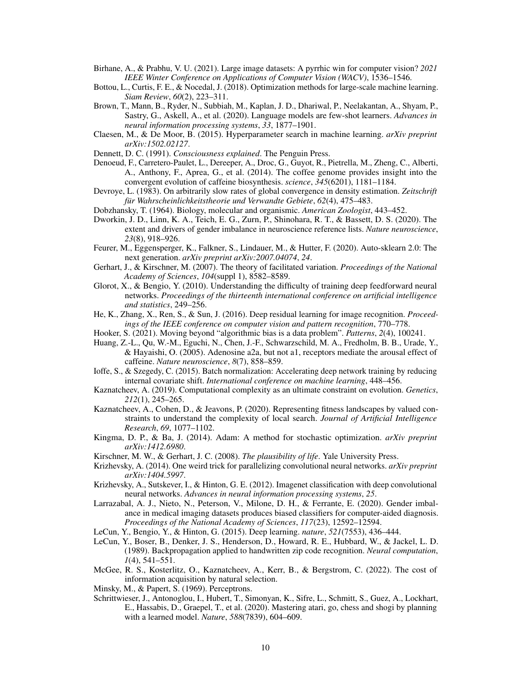- <span id="page-9-24"></span>Birhane, A., & Prabhu, V. U. (2021). Large image datasets: A pyrrhic win for computer vision? *2021 IEEE Winter Conference on Applications of Computer Vision (WACV)*, 1536–1546.
- <span id="page-9-15"></span>Bottou, L., Curtis, F. E., & Nocedal, J. (2018). Optimization methods for large-scale machine learning. *Siam Review*, *60*(2), 223–311.
- <span id="page-9-1"></span>Brown, T., Mann, B., Ryder, N., Subbiah, M., Kaplan, J. D., Dhariwal, P., Neelakantan, A., Shyam, P., Sastry, G., Askell, A., et al. (2020). Language models are few-shot learners. *Advances in neural information processing systems*, *33*, 1877–1901.
- <span id="page-9-16"></span>Claesen, M., & De Moor, B. (2015). Hyperparameter search in machine learning. *arXiv preprint arXiv:1502.02127*.
- <span id="page-9-23"></span>Dennett, D. C. (1991). *Consciousness explained*. The Penguin Press.
- <span id="page-9-3"></span>Denoeud, F., Carretero-Paulet, L., Dereeper, A., Droc, G., Guyot, R., Pietrella, M., Zheng, C., Alberti, A., Anthony, F., Aprea, G., et al. (2014). The coffee genome provides insight into the convergent evolution of caffeine biosynthesis. *science*, *345*(6201), 1181–1184.
- <span id="page-9-10"></span>Devroye, L. (1983). On arbitrarily slow rates of global convergence in density estimation. *Zeitschrift für Wahrscheinlichkeitstheorie und Verwandte Gebiete*, *62*(4), 475–483.

<span id="page-9-4"></span>Dobzhansky, T. (1964). Biology, molecular and organismic. *American Zoologist*, 443–452.

- <span id="page-9-27"></span>Dworkin, J. D., Linn, K. A., Teich, E. G., Zurn, P., Shinohara, R. T., & Bassett, D. S. (2020). The extent and drivers of gender imbalance in neuroscience reference lists. *Nature neuroscience*, *23*(8), 918–926.
- <span id="page-9-22"></span>Feurer, M., Eggensperger, K., Falkner, S., Lindauer, M., & Hutter, F. (2020). Auto-sklearn 2.0: The next generation. *arXiv preprint arXiv:2007.04074*, *24*.
- <span id="page-9-11"></span>Gerhart, J., & Kirschner, M. (2007). The theory of facilitated variation. *Proceedings of the National Academy of Sciences*, *104*(suppl 1), 8582–8589.
- <span id="page-9-19"></span>Glorot, X., & Bengio, Y. (2010). Understanding the difficulty of training deep feedforward neural networks. *Proceedings of the thirteenth international conference on artificial intelligence and statistics*, 249–256.
- <span id="page-9-17"></span>He, K., Zhang, X., Ren, S., & Sun, J. (2016). Deep residual learning for image recognition. *Proceedings of the IEEE conference on computer vision and pattern recognition*, 770–778.
- <span id="page-9-26"></span>Hooker, S. (2021). Moving beyond "algorithmic bias is a data problem". *Patterns*, *2*(4), 100241.
- <span id="page-9-2"></span>Huang, Z.-L., Qu, W.-M., Eguchi, N., Chen, J.-F., Schwarzschild, M. A., Fredholm, B. B., Urade, Y., & Hayaishi, O. (2005). Adenosine a2a, but not a1, receptors mediate the arousal effect of caffeine. *Nature neuroscience*, *8*(7), 858–859.
- <span id="page-9-20"></span>Ioffe, S., & Szegedy, C. (2015). Batch normalization: Accelerating deep network training by reducing internal covariate shift. *International conference on machine learning*, 448–456.
- <span id="page-9-13"></span>Kaznatcheev, A. (2019). Computational complexity as an ultimate constraint on evolution. *Genetics*, *212*(1), 245–265.
- <span id="page-9-14"></span>Kaznatcheev, A., Cohen, D., & Jeavons, P. (2020). Representing fitness landscapes by valued constraints to understand the complexity of local search. *Journal of Artificial Intelligence Research*, *69*, 1077–1102.
- <span id="page-9-18"></span>Kingma, D. P., & Ba, J. (2014). Adam: A method for stochastic optimization. *arXiv preprint arXiv:1412.6980*.
- <span id="page-9-12"></span>Kirschner, M. W., & Gerhart, J. C. (2008). *The plausibility of life*. Yale University Press.
- <span id="page-9-21"></span>Krizhevsky, A. (2014). One weird trick for parallelizing convolutional neural networks. *arXiv preprint arXiv:1404.5997*.
- <span id="page-9-7"></span>Krizhevsky, A., Sutskever, I., & Hinton, G. E. (2012). Imagenet classification with deep convolutional neural networks. *Advances in neural information processing systems*, *25*.
- <span id="page-9-25"></span>Larrazabal, A. J., Nieto, N., Peterson, V., Milone, D. H., & Ferrante, E. (2020). Gender imbalance in medical imaging datasets produces biased classifiers for computer-aided diagnosis. *Proceedings of the National Academy of Sciences*, *117*(23), 12592–12594.
- <span id="page-9-8"></span>LeCun, Y., Bengio, Y., & Hinton, G. (2015). Deep learning. *nature*, *521*(7553), 436–444.
- <span id="page-9-6"></span>LeCun, Y., Boser, B., Denker, J. S., Henderson, D., Howard, R. E., Hubbard, W., & Jackel, L. D. (1989). Backpropagation applied to handwritten zip code recognition. *Neural computation*, *1*(4), 541–551.
- <span id="page-9-9"></span>McGee, R. S., Kosterlitz, O., Kaznatcheev, A., Kerr, B., & Bergstrom, C. (2022). The cost of information acquisition by natural selection.
- <span id="page-9-5"></span>Minsky, M., & Papert, S. (1969). Perceptrons.
- <span id="page-9-0"></span>Schrittwieser, J., Antonoglou, I., Hubert, T., Simonyan, K., Sifre, L., Schmitt, S., Guez, A., Lockhart, E., Hassabis, D., Graepel, T., et al. (2020). Mastering atari, go, chess and shogi by planning with a learned model. *Nature*, *588*(7839), 604–609.